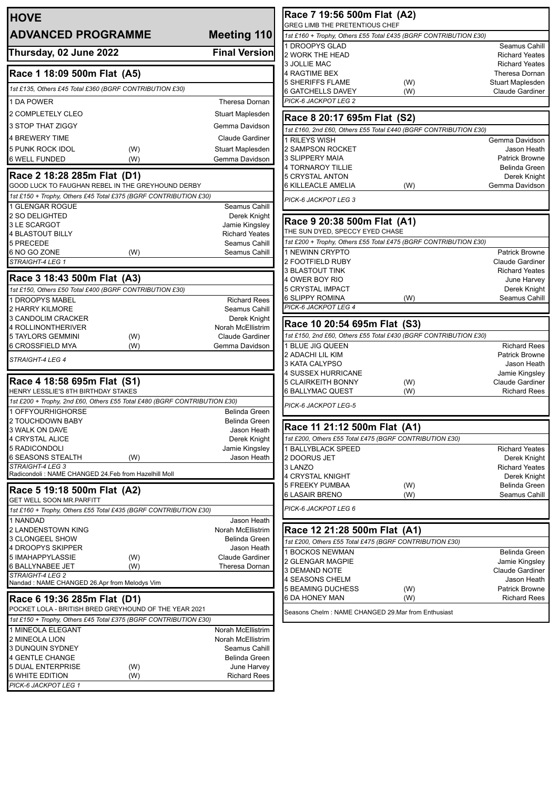| <b>HOVE</b>                                                                                    |                                        | Race 7 19:56 500m Flat (A2)                                                                        |     |                                          |
|------------------------------------------------------------------------------------------------|----------------------------------------|----------------------------------------------------------------------------------------------------|-----|------------------------------------------|
| <b>ADVANCED PROGRAMME</b>                                                                      | Meeting 110                            | GREG LIMB THE PRETENTIOUS CHEF<br>1st £160 + Trophy, Others £55 Total £435 (BGRF CONTRIBUTION £30) |     |                                          |
|                                                                                                |                                        | 1 DROOPYS GLAD                                                                                     |     | Seamus Cahill                            |
| Thursday, 02 June 2022                                                                         | <b>Final Version</b>                   | 2 WORK THE HEAD                                                                                    |     | <b>Richard Yeates</b>                    |
|                                                                                                |                                        | 3 JOLLIE MAC                                                                                       |     | <b>Richard Yeates</b>                    |
| Race 1 18:09 500m Flat (A5)                                                                    |                                        | 4 RAGTIME BEX<br><b>5 SHERIFFS FLAME</b>                                                           | (W) | Theresa Dornan<br>Stuart Maplesden       |
| 1st £135, Others £45 Total £360 (BGRF CONTRIBUTION £30)                                        |                                        | <b>6 GATCHELLS DAVEY</b>                                                                           | (W) | <b>Claude Gardiner</b>                   |
| 1 DA POWER                                                                                     | Theresa Dornan                         | PICK-6 JACKPOT LEG 2                                                                               |     |                                          |
| 2 COMPLETELY CLEO                                                                              | Stuart Maplesden                       |                                                                                                    |     |                                          |
| 3 STOP THAT ZIGGY                                                                              | Gemma Davidson                         | Race 8 20:17 695m Flat (S2)<br>1st £160, 2nd £60, Others £55 Total £440 (BGRF CONTRIBUTION £30)    |     |                                          |
| <b>4 BREWERY TIME</b>                                                                          | <b>Claude Gardiner</b>                 | 1 RILEYS WISH                                                                                      |     | Gemma Davidson                           |
| 5 PUNK ROCK IDOL<br>(W)                                                                        | Stuart Maplesden                       | 2 SAMPSON ROCKET                                                                                   |     | Jason Heath                              |
| <b>6 WELL FUNDED</b><br>(W)                                                                    | Gemma Davidson                         | <b>3 SLIPPERY MAIA</b>                                                                             |     | <b>Patrick Browne</b>                    |
| Race 2 18:28 285m Flat (D1)                                                                    |                                        | 4 TORNAROY TILLIE                                                                                  |     | Belinda Green                            |
| GOOD LUCK TO FAUGHAN REBEL IN THE GREYHOUND DERBY                                              |                                        | <b>5 CRYSTAL ANTON</b><br>6 KILLEACLE AMELIA                                                       | (W) | Derek Knight<br>Gemma Davidson           |
| 1st £150 + Trophy, Others £45 Total £375 (BGRF CONTRIBUTION £30)                               |                                        | PICK-6 JACKPOT LEG 3                                                                               |     |                                          |
| 1 GLENGAR ROGUE                                                                                | Seamus Cahill                          |                                                                                                    |     |                                          |
| 2 SO DELIGHTED                                                                                 | Derek Knight                           | Race 9 20:38 500m Flat (A1)                                                                        |     |                                          |
| 3 LE SCARGOT                                                                                   | Jamie Kingsley                         | THE SUN DYED, SPECCY EYED CHASE                                                                    |     |                                          |
| <b>4 BLASTOUT BILLY</b><br>5 PRECEDE                                                           | <b>Richard Yeates</b><br>Seamus Cahill | 1st £200 + Trophy, Others £55 Total £475 (BGRF CONTRIBUTION £30)                                   |     |                                          |
| 6 NO GO ZONE<br>(W)                                                                            | Seamus Cahill                          | 1 NEWINN CRYPTO                                                                                    |     | <b>Patrick Browne</b>                    |
| STRAIGHT-4 LEG 1                                                                               |                                        | 2 FOOTFIELD RUBY                                                                                   |     | <b>Claude Gardiner</b>                   |
|                                                                                                |                                        | <b>3 BLASTOUT TINK</b>                                                                             |     | <b>Richard Yeates</b>                    |
| Race 3 18:43 500m Flat (A3)                                                                    |                                        | 4 OWER BOY RIO                                                                                     |     | June Harvey                              |
| 1st £150, Others £50 Total £400 (BGRF CONTRIBUTION £30)                                        |                                        | <b>5 CRYSTAL IMPACT</b><br><b>6 SLIPPY ROMINA</b>                                                  | (W) | Derek Knight<br>Seamus Cahill            |
| 1 DROOPYS MABEL<br>2 HARRY KILMORE                                                             | <b>Richard Rees</b><br>Seamus Cahill   | PICK-6 JACKPOT LEG 4                                                                               |     |                                          |
| 3 CANDOLIM CRACKER                                                                             | Derek Knight                           |                                                                                                    |     |                                          |
| 4 ROLLINONTHERIVER                                                                             | Norah McEllistrim                      | Race 10 20:54 695m Flat (S3)                                                                       |     |                                          |
| <b>5 TAYLORS GEMMINI</b><br>(W)                                                                | Claude Gardiner                        | 1st £150, 2nd £60, Others £55 Total £430 (BGRF CONTRIBUTION £30)                                   |     |                                          |
| 6 CROSSFIELD MYA<br>(W)                                                                        | Gemma Davidson                         | 1 BLUE JIG QUEEN                                                                                   |     | <b>Richard Rees</b>                      |
| STRAIGHT-4 LEG 4                                                                               |                                        | 2 ADACHI LIL KIM<br>3 KATA CALYPSO                                                                 |     | <b>Patrick Browne</b><br>Jason Heath     |
|                                                                                                |                                        | 4 SUSSEX HURRICANE                                                                                 |     | Jamie Kingsley                           |
| Race 4 18:58 695m Flat (S1)                                                                    |                                        | <b>5 CLAIRKEITH BONNY</b>                                                                          | (W) | <b>Claude Gardiner</b>                   |
| HENRY LESSLIE'S 8TH BIRTHDAY STAKES                                                            |                                        | <b>6 BALLYMAC QUEST</b>                                                                            | (W) | <b>Richard Rees</b>                      |
| 1st £200 + Trophy, 2nd £60, Others £55 Total £480 (BGRF CONTRIBUTION £30)<br>1 OFFYOURHIGHORSE | Belinda Green                          | PICK-6 JACKPOT LEG-5                                                                               |     |                                          |
| 2 TOUCHDOWN BABY                                                                               | Belinda Green                          |                                                                                                    |     |                                          |
| 3 WALK ON DAVE                                                                                 | Jason Heath                            | Race 11 21:12 500m Flat (A1)                                                                       |     |                                          |
| 4 CRYSTAL ALICE                                                                                | Derek Knight                           | 1st £200, Others £55 Total £475 (BGRF CONTRIBUTION £30)                                            |     |                                          |
| 5 RADICONDOLI<br><b>6 SEASONS STEALTH</b><br>(W)                                               | Jamie Kingsley<br>Jason Heath          | 1 BALLYBLACK SPEED<br>2 DOORUS JET                                                                 |     | <b>Richard Yeates</b><br>Derek Knight    |
| STRAIGHT-4 LEG 3                                                                               |                                        | 3 LANZO                                                                                            |     | <b>Richard Yeates</b>                    |
| Radicondoli: NAME CHANGED 24.Feb from Hazelhill Moll                                           |                                        | 4 CRYSTAL KNIGHT                                                                                   |     | Derek Knight                             |
| Race 5 19:18 500m Flat (A2)                                                                    |                                        | <b>5 FREEKY PUMBAA</b>                                                                             | (W) | Belinda Green                            |
| <b>GET WELL SOON MR.PARFITT</b>                                                                |                                        | <b>6 LASAIR BRENO</b>                                                                              | (W) | Seamus Cahill                            |
| 1st £160 + Trophy, Others £55 Total £435 (BGRF CONTRIBUTION £30)                               |                                        | PICK-6 JACKPOT LEG 6                                                                               |     |                                          |
| 1 NANDAD                                                                                       | Jason Heath                            |                                                                                                    |     |                                          |
| 2 LANDENSTOWN KING                                                                             | Norah McEllistrim                      | Race 12 21:28 500m Flat (A1)                                                                       |     |                                          |
| 3 CLONGEEL SHOW<br>4 DROOPYS SKIPPER                                                           | Belinda Green<br>Jason Heath           | 1st £200, Others £55 Total £475 (BGRF CONTRIBUTION £30)                                            |     |                                          |
| 5 IMAHAPPYLASSIE<br>(W)                                                                        | <b>Claude Gardiner</b>                 | 1 BOCKOS NEWMAN                                                                                    |     | Belinda Green                            |
| 6 BALLYNABEE JET<br>(W)                                                                        | Theresa Dornan                         | 2 GLENGAR MAGPIE<br>3 DEMAND NOTE                                                                  |     | Jamie Kingsley<br><b>Claude Gardiner</b> |
| STRAIGHT-4 LEG 2                                                                               |                                        | 4 SEASONS CHELM                                                                                    |     | Jason Heath                              |
| Nandad: NAME CHANGED 26.Apr from Melodys Vim                                                   |                                        | <b>5 BEAMING DUCHESS</b>                                                                           | (W) | <b>Patrick Browne</b>                    |
| Race 6 19:36 285m Flat (D1)                                                                    |                                        | 6 DA HONEY MAN                                                                                     | (W) | <b>Richard Rees</b>                      |
| POCKET LOLA - BRITISH BRED GREYHOUND OF THE YEAR 2021                                          |                                        | Seasons Chelm : NAME CHANGED 29.Mar from Enthusiast                                                |     |                                          |
| 1st £150 + Trophy, Others £45 Total £375 (BGRF CONTRIBUTION £30)                               |                                        |                                                                                                    |     |                                          |
| 1 MINEOLA ELEGANT<br>2 MINEOLA LION                                                            | Norah McEllistrim<br>Norah McEllistrim |                                                                                                    |     |                                          |
| 3 DUNQUIN SYDNEY                                                                               | Seamus Cahill                          |                                                                                                    |     |                                          |
| <b>4 GENTLE CHANGE</b>                                                                         | Belinda Green                          |                                                                                                    |     |                                          |
| <b>5 DUAL ENTERPRISE</b><br>(W)                                                                | June Harvey                            |                                                                                                    |     |                                          |
| <b>6 WHITE EDITION</b><br>(W)                                                                  | <b>Richard Rees</b>                    |                                                                                                    |     |                                          |
| PICK-6 JACKPOT LEG 1                                                                           |                                        |                                                                                                    |     |                                          |
|                                                                                                |                                        |                                                                                                    |     |                                          |